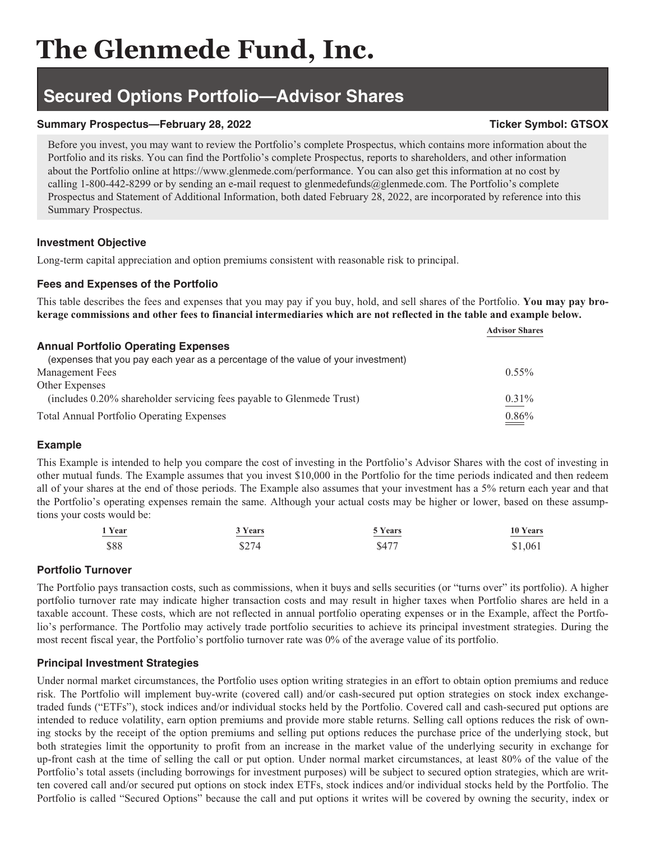# **The Glenmede Fund, Inc.**

## **Secured Options Portfolio—Advisor Shares**

#### **Summary Prospectus—February 28, 2022** Ticker Symbol: GTSOX

Before you invest, you may want to review the Portfolio's complete Prospectus, which contains more information about the Portfolio and its risks. You can find the Portfolio's complete Prospectus, reports to shareholders, and other information about the Portfolio online at https://www.glenmede.com/performance. You can also get this information at no cost by calling 1-800-442-8299 or by sending an e-mail request to glenmedefunds@glenmede.com. The Portfolio's complete Prospectus and Statement of Additional Information, both dated February 28, 2022, are incorporated by reference into this Summary Prospectus.

#### **Investment Objective**

Long-term capital appreciation and option premiums consistent with reasonable risk to principal.

#### **Fees and Expenses of the Portfolio**

This table describes the fees and expenses that you may pay if you buy, hold, and sell shares of the Portfolio. **You may pay brokerage commissions and other fees to financial intermediaries which are not reflected in the table and example below.**

|                                                                                   | <b>Advisor Shares</b> |
|-----------------------------------------------------------------------------------|-----------------------|
| <b>Annual Portfolio Operating Expenses</b>                                        |                       |
| (expenses that you pay each year as a percentage of the value of your investment) |                       |
| <b>Management Fees</b>                                                            | $0.55\%$              |
| Other Expenses                                                                    |                       |
| (includes 0.20% shareholder servicing fees payable to Glenmede Trust)             | $0.31\%$              |
| <b>Total Annual Portfolio Operating Expenses</b>                                  | 0.86%                 |

## **Example**

This Example is intended to help you compare the cost of investing in the Portfolio's Advisor Shares with the cost of investing in other mutual funds. The Example assumes that you invest \$10,000 in the Portfolio for the time periods indicated and then redeem all of your shares at the end of those periods. The Example also assumes that your investment has a 5% return each year and that the Portfolio's operating expenses remain the same. Although your actual costs may be higher or lower, based on these assumptions your costs would be:

| 1 Year                         | 3 Years                                                                                                                 | 5 Years                                                                                                                 | 10 Years |
|--------------------------------|-------------------------------------------------------------------------------------------------------------------------|-------------------------------------------------------------------------------------------------------------------------|----------|
| $\overbrace{\hspace{25mm}}^{}$ | <u> The Communication of the Communication of the Communication of the Communication of the Communication of the Co</u> | <u> The Communication of the Communication of the Communication of the Communication of the Communication of the Co</u> |          |
| \$88                           | \$274                                                                                                                   | \$477                                                                                                                   | \$1,061  |

## **Portfolio Turnover**

The Portfolio pays transaction costs, such as commissions, when it buys and sells securities (or "turns over" its portfolio). A higher portfolio turnover rate may indicate higher transaction costs and may result in higher taxes when Portfolio shares are held in a taxable account. These costs, which are not reflected in annual portfolio operating expenses or in the Example, affect the Portfolio's performance. The Portfolio may actively trade portfolio securities to achieve its principal investment strategies. During the most recent fiscal year, the Portfolio's portfolio turnover rate was 0% of the average value of its portfolio.

#### **Principal Investment Strategies**

Under normal market circumstances, the Portfolio uses option writing strategies in an effort to obtain option premiums and reduce risk. The Portfolio will implement buy-write (covered call) and/or cash-secured put option strategies on stock index exchangetraded funds ("ETFs"), stock indices and/or individual stocks held by the Portfolio. Covered call and cash-secured put options are intended to reduce volatility, earn option premiums and provide more stable returns. Selling call options reduces the risk of owning stocks by the receipt of the option premiums and selling put options reduces the purchase price of the underlying stock, but both strategies limit the opportunity to profit from an increase in the market value of the underlying security in exchange for up-front cash at the time of selling the call or put option. Under normal market circumstances, at least 80% of the value of the Portfolio's total assets (including borrowings for investment purposes) will be subject to secured option strategies, which are written covered call and/or secured put options on stock index ETFs, stock indices and/or individual stocks held by the Portfolio. The Portfolio is called "Secured Options" because the call and put options it writes will be covered by owning the security, index or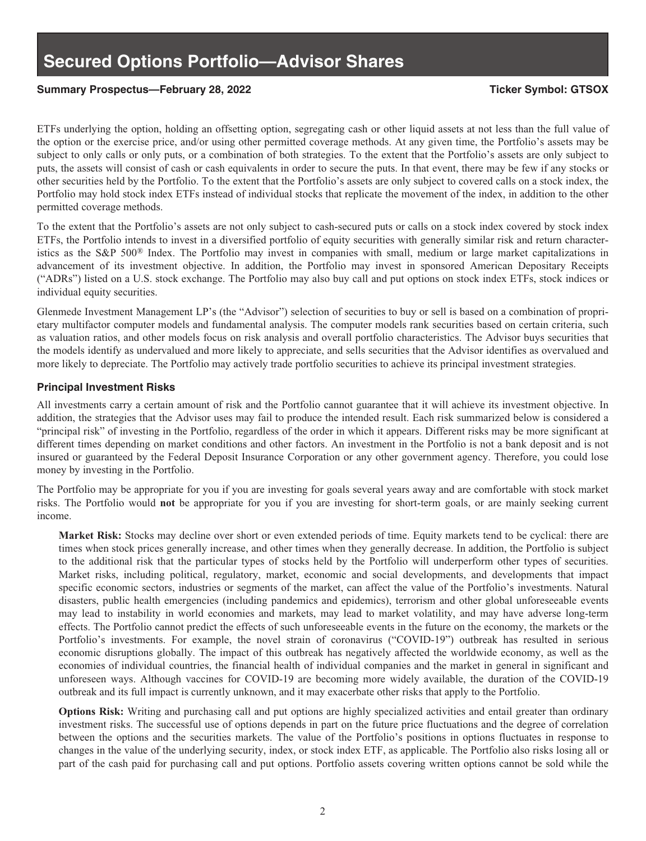#### **Summary Prospectus—February 28, 2022 Ticker Symbol: GTSOX**

ETFs underlying the option, holding an offsetting option, segregating cash or other liquid assets at not less than the full value of the option or the exercise price, and/or using other permitted coverage methods. At any given time, the Portfolio's assets may be subject to only calls or only puts, or a combination of both strategies. To the extent that the Portfolio's assets are only subject to puts, the assets will consist of cash or cash equivalents in order to secure the puts. In that event, there may be few if any stocks or other securities held by the Portfolio. To the extent that the Portfolio's assets are only subject to covered calls on a stock index, the Portfolio may hold stock index ETFs instead of individual stocks that replicate the movement of the index, in addition to the other permitted coverage methods.

To the extent that the Portfolio's assets are not only subject to cash-secured puts or calls on a stock index covered by stock index ETFs, the Portfolio intends to invest in a diversified portfolio of equity securities with generally similar risk and return characteristics as the S&P 500® Index. The Portfolio may invest in companies with small, medium or large market capitalizations in advancement of its investment objective. In addition, the Portfolio may invest in sponsored American Depositary Receipts ("ADRs") listed on a U.S. stock exchange. The Portfolio may also buy call and put options on stock index ETFs, stock indices or individual equity securities.

Glenmede Investment Management LP's (the "Advisor") selection of securities to buy or sell is based on a combination of proprietary multifactor computer models and fundamental analysis. The computer models rank securities based on certain criteria, such as valuation ratios, and other models focus on risk analysis and overall portfolio characteristics. The Advisor buys securities that the models identify as undervalued and more likely to appreciate, and sells securities that the Advisor identifies as overvalued and more likely to depreciate. The Portfolio may actively trade portfolio securities to achieve its principal investment strategies.

#### **Principal Investment Risks**

All investments carry a certain amount of risk and the Portfolio cannot guarantee that it will achieve its investment objective. In addition, the strategies that the Advisor uses may fail to produce the intended result. Each risk summarized below is considered a "principal risk" of investing in the Portfolio, regardless of the order in which it appears. Different risks may be more significant at different times depending on market conditions and other factors. An investment in the Portfolio is not a bank deposit and is not insured or guaranteed by the Federal Deposit Insurance Corporation or any other government agency. Therefore, you could lose money by investing in the Portfolio.

The Portfolio may be appropriate for you if you are investing for goals several years away and are comfortable with stock market risks. The Portfolio would **not** be appropriate for you if you are investing for short-term goals, or are mainly seeking current income.

**Market Risk:** Stocks may decline over short or even extended periods of time. Equity markets tend to be cyclical: there are times when stock prices generally increase, and other times when they generally decrease. In addition, the Portfolio is subject to the additional risk that the particular types of stocks held by the Portfolio will underperform other types of securities. Market risks, including political, regulatory, market, economic and social developments, and developments that impact specific economic sectors, industries or segments of the market, can affect the value of the Portfolio's investments. Natural disasters, public health emergencies (including pandemics and epidemics), terrorism and other global unforeseeable events may lead to instability in world economies and markets, may lead to market volatility, and may have adverse long-term effects. The Portfolio cannot predict the effects of such unforeseeable events in the future on the economy, the markets or the Portfolio's investments. For example, the novel strain of coronavirus ("COVID-19") outbreak has resulted in serious economic disruptions globally. The impact of this outbreak has negatively affected the worldwide economy, as well as the economies of individual countries, the financial health of individual companies and the market in general in significant and unforeseen ways. Although vaccines for COVID-19 are becoming more widely available, the duration of the COVID-19 outbreak and its full impact is currently unknown, and it may exacerbate other risks that apply to the Portfolio.

**Options Risk:** Writing and purchasing call and put options are highly specialized activities and entail greater than ordinary investment risks. The successful use of options depends in part on the future price fluctuations and the degree of correlation between the options and the securities markets. The value of the Portfolio's positions in options fluctuates in response to changes in the value of the underlying security, index, or stock index ETF, as applicable. The Portfolio also risks losing all or part of the cash paid for purchasing call and put options. Portfolio assets covering written options cannot be sold while the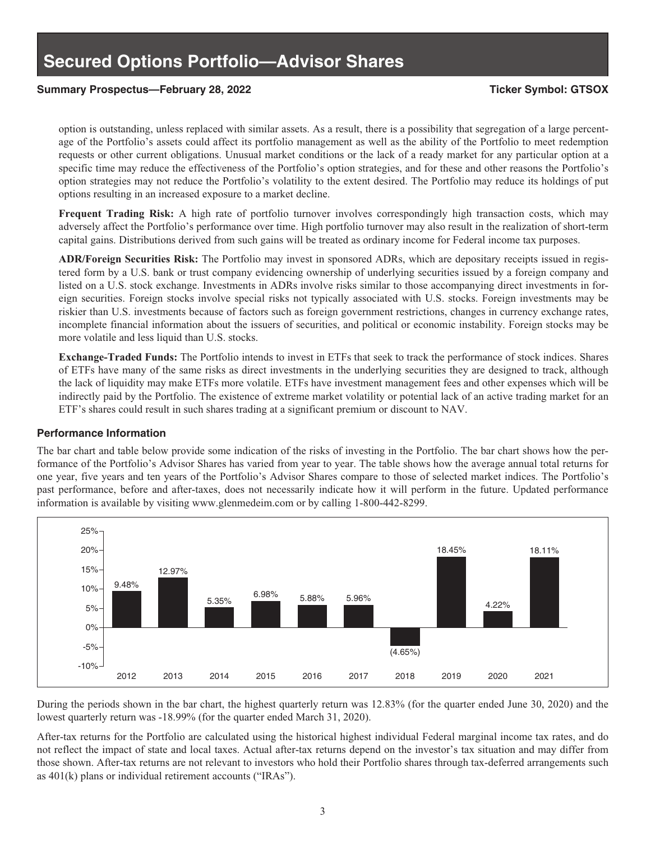#### **Summary Prospectus—February 28, 2022 Ticker Symbol: GTSOX**

option is outstanding, unless replaced with similar assets. As a result, there is a possibility that segregation of a large percentage of the Portfolio's assets could affect its portfolio management as well as the ability of the Portfolio to meet redemption requests or other current obligations. Unusual market conditions or the lack of a ready market for any particular option at a specific time may reduce the effectiveness of the Portfolio's option strategies, and for these and other reasons the Portfolio's option strategies may not reduce the Portfolio's volatility to the extent desired. The Portfolio may reduce its holdings of put options resulting in an increased exposure to a market decline.

**Frequent Trading Risk:** A high rate of portfolio turnover involves correspondingly high transaction costs, which may adversely affect the Portfolio's performance over time. High portfolio turnover may also result in the realization of short-term capital gains. Distributions derived from such gains will be treated as ordinary income for Federal income tax purposes.

**ADR/Foreign Securities Risk:** The Portfolio may invest in sponsored ADRs, which are depositary receipts issued in registered form by a U.S. bank or trust company evidencing ownership of underlying securities issued by a foreign company and listed on a U.S. stock exchange. Investments in ADRs involve risks similar to those accompanying direct investments in foreign securities. Foreign stocks involve special risks not typically associated with U.S. stocks. Foreign investments may be riskier than U.S. investments because of factors such as foreign government restrictions, changes in currency exchange rates, incomplete financial information about the issuers of securities, and political or economic instability. Foreign stocks may be more volatile and less liquid than U.S. stocks.

**Exchange-Traded Funds:** The Portfolio intends to invest in ETFs that seek to track the performance of stock indices. Shares of ETFs have many of the same risks as direct investments in the underlying securities they are designed to track, although the lack of liquidity may make ETFs more volatile. ETFs have investment management fees and other expenses which will be indirectly paid by the Portfolio. The existence of extreme market volatility or potential lack of an active trading market for an ETF's shares could result in such shares trading at a significant premium or discount to NAV.

#### **Performance Information**

The bar chart and table below provide some indication of the risks of investing in the Portfolio. The bar chart shows how the performance of the Portfolio's Advisor Shares has varied from year to year. The table shows how the average annual total returns for one year, five years and ten years of the Portfolio's Advisor Shares compare to those of selected market indices. The Portfolio's past performance, before and after-taxes, does not necessarily indicate how it will perform in the future. Updated performance information is available by visiting www.glenmedeim.com or by calling 1-800-442-8299.



During the periods shown in the bar chart, the highest quarterly return was 12.83% (for the quarter ended June 30, 2020) and the lowest quarterly return was -18.99% (for the quarter ended March 31, 2020).

After-tax returns for the Portfolio are calculated using the historical highest individual Federal marginal income tax rates, and do not reflect the impact of state and local taxes. Actual after-tax returns depend on the investor's tax situation and may differ from those shown. After-tax returns are not relevant to investors who hold their Portfolio shares through tax-deferred arrangements such as 401(k) plans or individual retirement accounts ("IRAs").